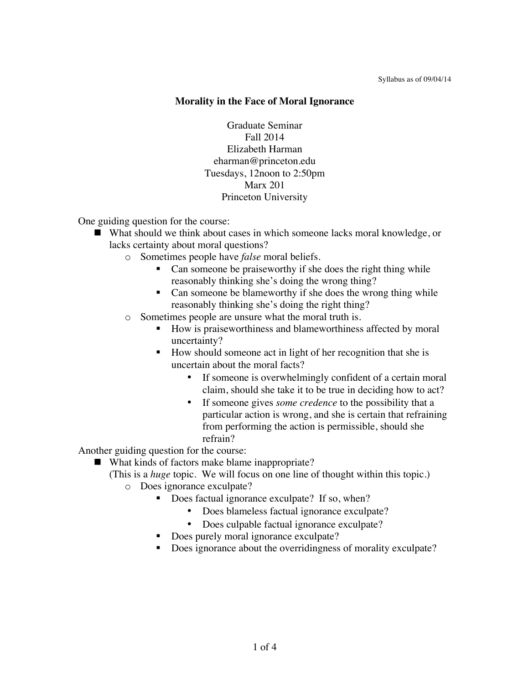#### **Morality in the Face of Moral Ignorance**

Graduate Seminar Fall 2014 Elizabeth Harman eharman@princeton.edu Tuesdays, 12noon to 2:50pm Marx 201 Princeton University

One guiding question for the course:

- What should we think about cases in which someone lacks moral knowledge, or lacks certainty about moral questions?
	- o Sometimes people have *false* moral beliefs.
		- Can someone be praiseworthy if she does the right thing while reasonably thinking she's doing the wrong thing?
		- Can someone be blameworthy if she does the wrong thing while reasonably thinking she's doing the right thing?
	- o Sometimes people are unsure what the moral truth is.
		- How is praiseworthiness and blameworthiness affected by moral uncertainty?
		- How should someone act in light of her recognition that she is uncertain about the moral facts?
			- If someone is overwhelmingly confident of a certain moral claim, should she take it to be true in deciding how to act?
			- If someone gives *some credence* to the possibility that a particular action is wrong, and she is certain that refraining from performing the action is permissible, should she refrain?

Another guiding question for the course:

■ What kinds of factors make blame inappropriate?

(This is a *huge* topic. We will focus on one line of thought within this topic.)

- o Does ignorance exculpate?
	- Does factual ignorance exculpate? If so, when?
		- Does blameless factual ignorance exculpate?
		- Does culpable factual ignorance exculpate?
		- Does purely moral ignorance exculpate?
	- Does ignorance about the overridingness of morality exculpate?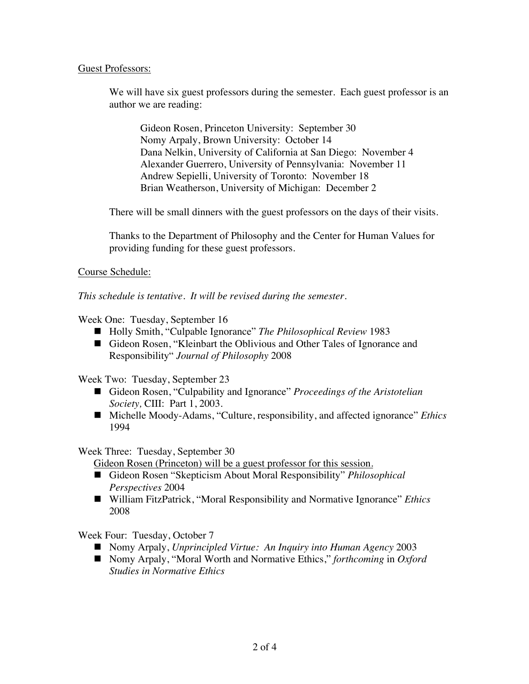# Guest Professors:

We will have six guest professors during the semester. Each guest professor is an author we are reading:

Gideon Rosen, Princeton University: September 30 Nomy Arpaly, Brown University: October 14 Dana Nelkin, University of California at San Diego: November 4 Alexander Guerrero, University of Pennsylvania: November 11 Andrew Sepielli, University of Toronto: November 18 Brian Weatherson, University of Michigan: December 2

There will be small dinners with the guest professors on the days of their visits.

Thanks to the Department of Philosophy and the Center for Human Values for providing funding for these guest professors.

# Course Schedule:

*This schedule is tentative. It will be revised during the semester.*

Week One: Tuesday, September 16

- Holly Smith, "Culpable Ignorance" *The Philosophical Review* 1983
- Gideon Rosen, "Kleinbart the Oblivious and Other Tales of Ignorance and Responsibility" *Journal of Philosophy* 2008

Week Two: Tuesday, September 23

- Gideon Rosen, "Culpability and Ignorance" *Proceedings of the Aristotelian Society,* CIII: Part 1, 2003.
- Michelle Moody-Adams, "Culture, responsibility, and affected ignorance" *Ethics* 1994

### Week Three: Tuesday, September 30

Gideon Rosen (Princeton) will be a guest professor for this session.

- Gideon Rosen "Skepticism About Moral Responsibility" *Philosophical Perspectives* 2004
- William FitzPatrick, "Moral Responsibility and Normative Ignorance" *Ethics* 2008

Week Four: Tuesday, October 7

- Nomy Arpaly, *Unprincipled Virtue: An Inquiry into Human Agency* 2003
- Nomy Arpaly, "Moral Worth and Normative Ethics," *forthcoming* in *Oxford Studies in Normative Ethics*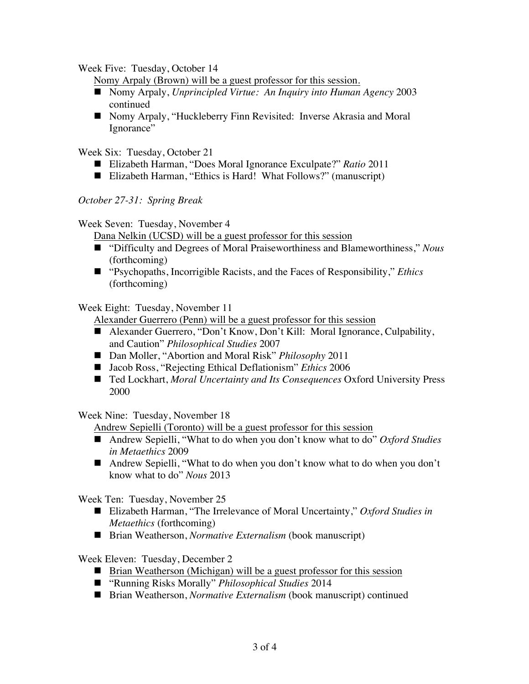Week Five: Tuesday, October 14

Nomy Arpaly (Brown) will be a guest professor for this session.

- Nomy Arpaly, *Unprincipled Virtue: An Inquiry into Human Agency* 2003 continued
- Nomy Arpaly, "Huckleberry Finn Revisited: Inverse Akrasia and Moral Ignorance"

Week Six: Tuesday, October 21

- Elizabeth Harman, "Does Moral Ignorance Exculpate?" *Ratio* 2011
- Elizabeth Harman, "Ethics is Hard! What Follows?" (manuscript)

*October 27-31: Spring Break*

Week Seven: Tuesday, November 4

Dana Nelkin (UCSD) will be a guest professor for this session

- "Difficulty and Degrees of Moral Praiseworthiness and Blameworthiness," *Nous* (forthcoming)
- "Psychopaths, Incorrigible Racists, and the Faces of Responsibility," *Ethics*  (forthcoming)

Week Eight: Tuesday, November 11

Alexander Guerrero (Penn) will be a guest professor for this session

- Alexander Guerrero, "Don't Know, Don't Kill: Moral Ignorance, Culpability, and Caution" *Philosophical Studies* 2007
- Dan Moller, "Abortion and Moral Risk" *Philosophy* 2011
- Jacob Ross, "Rejecting Ethical Deflationism" *Ethics* 2006
- Ted Lockhart, *Moral Uncertainty and Its Consequences* Oxford University Press 2000

Week Nine: Tuesday, November 18

Andrew Sepielli (Toronto) will be a guest professor for this session

- Andrew Sepielli, "What to do when you don't know what to do" *Oxford Studies in Metaethics* 2009
- Andrew Sepielli, "What to do when you don't know what to do when you don't know what to do" *Nous* 2013

Week Ten: Tuesday, November 25

- Elizabeth Harman, "The Irrelevance of Moral Uncertainty," *Oxford Studies in Metaethics* (forthcoming)
- Brian Weatherson, *Normative Externalism* (book manuscript)

Week Eleven: Tuesday, December 2

- Brian Weatherson (Michigan) will be a guest professor for this session
- "Running Risks Morally" *Philosophical Studies* 2014
- Brian Weatherson, *Normative Externalism* (book manuscript) continued